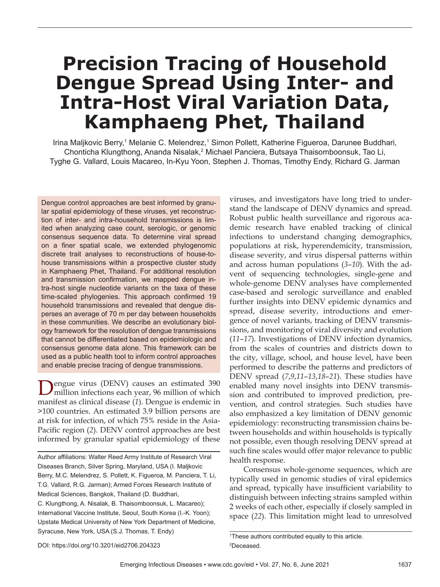# **Precision Tracing of Household Dengue Spread Using Inter- and Intra-Host Viral Variation Data, Kamphaeng Phet, Thailand**

Irina Maljkovic Berry,1 Melanie C. Melendrez,1 Simon Pollett, Katherine Figueroa, Darunee Buddhari, Chonticha Klungthong, Ananda Nisalak,<sup>2</sup> Michael Panciera, Butsaya Thaisomboonsuk, Tao Li, Tyghe G. Vallard, Louis Macareo, In-Kyu Yoon, Stephen J. Thomas, Timothy Endy, Richard G. Jarman

Dengue control approaches are best informed by granular spatial epidemiology of these viruses, yet reconstruction of inter- and intra-household transmissions is limited when analyzing case count, serologic, or genomic consensus sequence data. To determine viral spread on a finer spatial scale, we extended phylogenomic discrete trait analyses to reconstructions of house-tohouse transmissions within a prospective cluster study in Kamphaeng Phet, Thailand. For additional resolution and transmission confirmation, we mapped dengue intra-host single nucleotide variants on the taxa of these time-scaled phylogenies. This approach confirmed 19 household transmissions and revealed that dengue disperses an average of 70 m per day between households in these communities. We describe an evolutionary biology framework for the resolution of dengue transmissions that cannot be differentiated based on epidemiologic and consensus genome data alone. This framework can be used as a public health tool to inform control approaches and enable precise tracing of dengue transmissions.

Dengue virus (DENV) causes an estimated 390 million infections each year, 96 million of which manifest as clinical disease (*1*). Dengue is endemic in >100 countries. An estimated 3.9 billion persons are at risk for infection, of which 75% reside in the Asia-Pacific region (2). DENV control approaches are best informed by granular spatial epidemiology of these

Author affiliations: Walter Reed Army Institute of Research Viral Diseases Branch, Silver Spring, Maryland, USA (I. Maljkovic Berry, M.C. Melendrez, S. Pollett, K. Figueroa, M. Panciera, T. Li, T.G. Vallard, R.G. Jarman); Armed Forces Research Institute of Medical Sciences, Bangkok, Thailand (D. Buddhari, C. Klungthong, A. Nisalak, B. Thaisomboonsuk, L. Macareo); International Vaccine Institute, Seoul, South Korea (I.-K. Yoon); Upstate Medical University of New York Department of Medicine, Syracuse, New York, USA (S.J. Thomas, T. Endy)

viruses, and investigators have long tried to understand the landscape of DENV dynamics and spread. Robust public health surveillance and rigorous academic research have enabled tracking of clinical infections to understand changing demographics, populations at risk, hyperendemicity, transmission, disease severity, and virus dispersal patterns within and across human populations (*3*–*10*). With the advent of sequencing technologies, single-gene and whole-genome DENV analyses have complemented case-based and serologic surveillance and enabled further insights into DENV epidemic dynamics and spread, disease severity, introductions and emergence of novel variants, tracking of DENV transmissions, and monitoring of viral diversity and evolution (*11*–*17*). Investigations of DENV infection dynamics, from the scales of countries and districts down to the city, village, school, and house level, have been performed to describe the patterns and predictors of DENV spread (*7*,*9*,*11*–*13*,*18*–*21*). These studies have enabled many novel insights into DENV transmission and contributed to improved prediction, prevention, and control strategies. Such studies have also emphasized a key limitation of DENV genomic epidemiology: reconstructing transmission chains between households and within households is typically not possible, even though resolving DENV spread at such fine scales would offer major relevance to public health response.

Consensus whole-genome sequences, which are typically used in genomic studies of viral epidemics and spread, typically have insufficient variability to distinguish between infecting strains sampled within 2 weeks of each other, especially if closely sampled in space (*22*). This limitation might lead to unresolved

<sup>1</sup> These authors contributed equally to this article. 2 Deceased.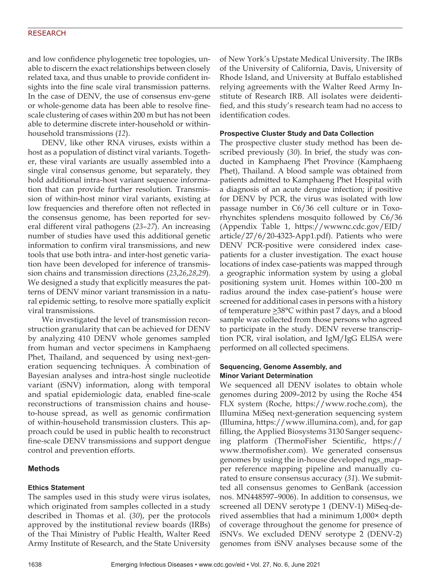and low confidence phylogenetic tree topologies, unable to discern the exact relationships between closely related taxa, and thus unable to provide confident insights into the fine scale viral transmission patterns. In the case of DENV, the use of consensus env-gene or whole-genome data has been able to resolve finescale clustering of cases within 200 m but has not been able to determine discrete inter-household or withinhousehold transmissions (*12*).

DENV, like other RNA viruses, exists within a host as a population of distinct viral variants. Together, these viral variants are usually assembled into a single viral consensus genome, but separately, they hold additional intra-host variant sequence information that can provide further resolution. Transmission of within-host minor viral variants, existing at low frequencies and therefore often not reflected in the consensus genome, has been reported for several different viral pathogens (*23*–*27*). An increasing number of studies have used this additional genetic information to confirm viral transmissions, and new tools that use both intra- and inter-host genetic variation have been developed for inference of transmission chains and transmission directions (*23*,*26*,*28*,*29*). We designed a study that explicitly measures the patterns of DENV minor variant transmission in a natural epidemic setting, to resolve more spatially explicit viral transmissions.

We investigated the level of transmission reconstruction granularity that can be achieved for DENV by analyzing 410 DENV whole genomes sampled from human and vector specimens in Kamphaeng Phet, Thailand, and sequenced by using next-generation sequencing techniques. A combination of Bayesian analyses and intra-host single nucleotide variant (iSNV) information, along with temporal and spatial epidemiologic data, enabled fine-scale reconstructions of transmission chains and houseto-house spread, as well as genomic confirmation of within-household transmission clusters. This approach could be used in public health to reconstruct fine-scale DENV transmissions and support dengue control and prevention efforts.

# **Methods**

## **Ethics Statement**

The samples used in this study were virus isolates, which originated from samples collected in a study described in Thomas et al. (*30*), per the protocols approved by the institutional review boards (IRBs) of the Thai Ministry of Public Health, Walter Reed Army Institute of Research, and the State University of New York's Upstate Medical University. The IRBs of the University of California, Davis, University of Rhode Island, and University at Buffalo established relying agreements with the Walter Reed Army Institute of Research IRB. All isolates were deidentified, and this study's research team had no access to identification codes.

## **Prospective Cluster Study and Data Collection**

The prospective cluster study method has been described previously (*30*). In brief, the study was conducted in Kamphaeng Phet Province (Kamphaeng Phet), Thailand. A blood sample was obtained from patients admitted to Kamphaeng Phet Hospital with a diagnosis of an acute dengue infection; if positive for DENV by PCR, the virus was isolated with low passage number in C6/36 cell culture or in Toxorhynchites splendens mosquito followed by C6/36 (Appendix Table 1, https://wwwnc.cdc.gov/EID/ article/27/6/20-4323-App1.pdf). Patients who were DENV PCR-positive were considered index casepatients for a cluster investigation. The exact house locations of index case-patients was mapped through a geographic information system by using a global positioning system unit. Homes within 100–200 m radius around the index case-patient's house were screened for additional cases in persons with a history of temperature  $\geq 38^{\circ}$ C within past 7 days, and a blood sample was collected from those persons who agreed to participate in the study. DENV reverse transcription PCR, viral isolation, and IgM/IgG ELISA were performed on all collected specimens.

# **Sequencing, Genome Assembly, and Minor Variant Determination**

We sequenced all DENV isolates to obtain whole genomes during 2009–2012 by using the Roche 454 FLX system (Roche, https://www.roche.com), the Illumina MiSeq next-generation sequencing system (Illumina, https://www.illumina.com), and, for gap filling, the Applied Biosystems 3130 Sanger sequencing platform (ThermoFisher Scientific, https:// www.thermofisher.com). We generated consensus genomes by using the in-house developed ngs\_mapper reference mapping pipeline and manually curated to ensure consensus accuracy (*31*). We submitted all consensus genomes to GenBank (accession nos. MN448597–9006). In addition to consensus, we screened all DENV serotype 1 (DENV-1) MiSeq-derived assemblies that had a minimum 1,000× depth of coverage throughout the genome for presence of iSNVs. We excluded DENV serotype 2 (DENV-2) genomes from iSNV analyses because some of the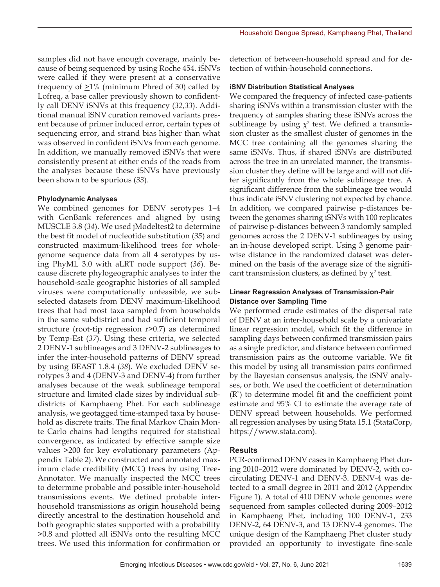samples did not have enough coverage, mainly because of being sequenced by using Roche 454. iSNVs were called if they were present at a conservative frequency of  $\geq$ 1% (minimum Phred of 30) called by Lofreq, a base caller previously shown to confidently call DENV iSNVs at this frequency (*32*,*33*). Additional manual iSNV curation removed variants present because of primer induced error, certain types of sequencing error, and strand bias higher than what was observed in confident iSNVs from each genome. In addition, we manually removed iSNVs that were consistently present at either ends of the reads from the analyses because these iSNVs have previously been shown to be spurious (*33*).

### **Phylodynamic Analyses**

We combined genomes for DENV serotypes 1–4 with GenBank references and aligned by using MUSCLE 3.8 (*34*). We used jModeltest2 to determine the best fit model of nucleotide substitution (*35*) and constructed maximum-likelihood trees for wholegenome sequence data from all 4 serotypes by using PhyML 3.0 with aLRT node support (*36*). Because discrete phylogeographic analyses to infer the household-scale geographic histories of all sampled viruses were computationally unfeasible, we subselected datasets from DENV maximum-likelihood trees that had most taxa sampled from households in the same subdistrict and had sufficient temporal structure (root-tip regression r>0.7) as determined by Temp-Est (*37*). Using these criteria, we selected 2 DENV-1 sublineages and 3 DENV-2 sublineages to infer the inter-household patterns of DENV spread by using BEAST 1.8.4 (*38*). We excluded DENV serotypes 3 and 4 (DENV-3 and DENV-4) from further analyses because of the weak sublineage temporal structure and limited clade sizes by individual subdistricts of Kamphaeng Phet. For each sublineage analysis, we geotagged time-stamped taxa by household as discrete traits. The final Markov Chain Monte Carlo chains had lengths required for statistical convergence, as indicated by effective sample size values >200 for key evolutionary parameters (Appendix Table 2). We constructed and annotated maximum clade credibility (MCC) trees by using Tree-Annotator. We manually inspected the MCC trees to determine probable and possible inter-household transmissions events. We defined probable interhousehold transmissions as origin household being directly ancestral to the destination household and both geographic states supported with a probability  $\geq$ 0.8 and plotted all iSNVs onto the resulting MCC trees. We used this information for confirmation or

detection of between-household spread and for detection of within-household connections.

#### **iSNV Distribution Statistical Analyses**

We compared the frequency of infected case-patients sharing iSNVs within a transmission cluster with the frequency of samples sharing these iSNVs across the sublineage by using  $\chi^2$  test. We defined a transmission cluster as the smallest cluster of genomes in the MCC tree containing all the genomes sharing the same iSNVs. Thus, if shared iSNVs are distributed across the tree in an unrelated manner, the transmission cluster they define will be large and will not differ significantly from the whole sublineage tree. A significant difference from the sublineage tree would thus indicate iSNV clustering not expected by chance. In addition, we compared pairwise p-distances between the genomes sharing iSNVs with 100 replicates of pairwise p-distances between 3 randomly sampled genomes across the 2 DENV-1 sublineages by using an in-house developed script. Using 3 genome pairwise distance in the randomized dataset was determined on the basis of the average size of the significant transmission clusters, as defined by  $\chi^2$  test.

## **Linear Regression Analyses of Transmission-Pair Distance over Sampling Time**

We performed crude estimates of the dispersal rate of DENV at an inter-household scale by a univariate linear regression model, which fit the difference in sampling days between confirmed transmission pairs as a single predictor, and distance between confirmed transmission pairs as the outcome variable. We fit this model by using all transmission pairs confirmed by the Bayesian consensus analysis, the iSNV analyses, or both. We used the coefficient of determination (R2 ) to determine model fit and the coefficient point estimate and 95% CI to estimate the average rate of DENV spread between households. We performed all regression analyses by using Stata 15.1 (StataCorp, https://www.stata.com).

#### **Results**

PCR-confirmed DENV cases in Kamphaeng Phet during 2010–2012 were dominated by DENV-2, with cocirculating DENV-1 and DENV-3. DENV-4 was detected to a small degree in 2011 and 2012 (Appendix Figure 1). A total of 410 DENV whole genomes were sequenced from samples collected during 2009–2012 in Kamphaeng Phet, including 100 DENV-1, 233 DENV-2, 64 DENV-3, and 13 DENV-4 genomes. The unique design of the Kamphaeng Phet cluster study provided an opportunity to investigate fine-scale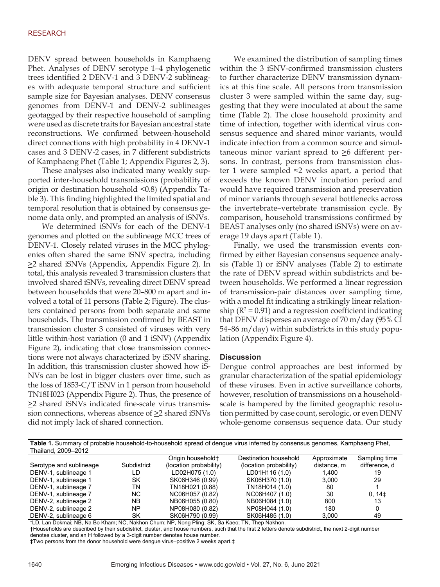DENV spread between households in Kamphaeng Phet. Analyses of DENV serotype 1–4 phylogenetic trees identified 2 DENV-1 and 3 DENV-2 sublineages with adequate temporal structure and sufficient sample size for Bayesian analyses. DENV consensus genomes from DENV-1 and DENV-2 sublineages geotagged by their respective household of sampling were used as discrete traits for Bayesian ancestral state reconstructions. We confirmed between-household direct connections with high probability in 4 DENV-1 cases and 3 DENV-2 cases, in 7 different subdistricts of Kamphaeng Phet (Table 1; Appendix Figures 2, 3).

These analyses also indicated many weakly supported inter-household transmissions (probability of origin or destination household <0.8) (Appendix Table 3). This finding highlighted the limited spatial and temporal resolution that is obtained by consensus genome data only, and prompted an analysis of iSNVs.

We determined iSNVs for each of the DENV-1 genomes and plotted on the sublineage MCC trees of DENV-1. Closely related viruses in the MCC phylogenies often shared the same iSNV spectra, including >2 shared iSNVs (Appendix, Appendix Figure 2). In total, this analysis revealed 3 transmission clusters that involved shared iSNVs, revealing direct DENV spread between households that were 20–800 m apart and involved a total of 11 persons (Table 2; Figure). The clusters contained persons from both separate and same households. The transmission confirmed by BEAST in transmission cluster 3 consisted of viruses with very little within-host variation (0 and 1 iSNV) (Appendix Figure 2), indicating that close transmission connections were not always characterized by iSNV sharing. In addition, this transmission cluster showed how iS-NVs can be lost in bigger clusters over time, such as the loss of 1853-C/T iSNV in 1 person from household TN18H023 (Appendix Figure 2). Thus, the presence of >2 shared iSNVs indicated fine-scale virus transmission connections, whereas absence of  $\geq$ 2 shared iSNVs did not imply lack of shared connection.

We examined the distribution of sampling times within the 3 iSNV-confirmed transmission clusters to further characterize DENV transmission dynamics at this fine scale. All persons from transmission cluster 3 were sampled within the same day, suggesting that they were inoculated at about the same time (Table 2). The close household proximity and time of infection, together with identical virus consensus sequence and shared minor variants, would indicate infection from a common source and simultaneous minor variant spread to >6 different persons. In contrast, persons from transmission cluster 1 were sampled ≈2 weeks apart, a period that exceeds the known DENV incubation period and would have required transmission and preservation of minor variants through several bottlenecks across the invertebrate–vertebrate transmission cycle. By comparison, household transmissions confirmed by BEAST analyses only (no shared iSNVs) were on average 19 days apart (Table 1).

Finally, we used the transmission events confirmed by either Bayesian consensus sequence analysis (Table 1) or iSNV analyses (Table 2) to estimate the rate of DENV spread within subdistricts and between households. We performed a linear regression of transmission-pair distances over sampling time, with a model fit indicating a strikingly linear relationship ( $R^2$  = 0.91) and a regression coefficient indicating that DENV disperses an average of 70 m/day (95% CI 54–86 m/day) within subdistricts in this study population (Appendix Figure 4).

#### **Discussion**

Dengue control approaches are best informed by granular characterization of the spatial epidemiology of these viruses. Even in active surveillance cohorts, however, resolution of transmissions on a householdscale is hampered by the limited geographic resolution permitted by case count, serologic, or even DENV whole-genome consensus sequence data. Our study

| Table 1. Summary of probable household-to-household spread of dengue virus inferred by consensus genomes, Kamphaeng Phet, |  |
|---------------------------------------------------------------------------------------------------------------------------|--|
| Thailand, 2009-2012                                                                                                       |  |

|                         |             | Origin household <sup>+</sup> | Destination household  | Approximate | Sampling time      |
|-------------------------|-------------|-------------------------------|------------------------|-------------|--------------------|
| Serotype and sublineage | Subdistrict | (location probability)        | (location probability) | distance, m | difference, d      |
| DENV-1, sublineage 1    | LD          | LD02H075 (1.0)                | LD01H116 (1.0)         | 1.400       | 19                 |
| DENV-1, sublineage 1    | SK          | SK06H346 (0.99)               | SK06H370 (1.0)         | 3.000       | 29                 |
| DENV-1, sublineage 7    | ΤN          | TN18H021 (0.88)               | TN18H014 (1.0)         | 80          |                    |
| DENV-1, sublineage 7    | NC.         | NC06H057 (0.82)               | NC06H407 (1.0)         | 30          | 0, 14 <sup>±</sup> |
| DENV-2, sublineage 2    | <b>NB</b>   | NB06H055 (0.80)               | NB06H084 (1.0)         | 800         | 13                 |
| DENV-2, sublineage 2    | NΡ          | NP08H080 (0.82)               | NP08H044 (1.0)         | 180         |                    |
| DENV-2, sublineage 6    | SK          | SK06H790 (0.99)               | SK06H485 (1.0)         | 3.000       | 49                 |

\*LD, Lan Dokmai; NB, Na Bo Kham; NC, Nakhon Chum; NP, Nong Pling; SK, Sa Kaeo; TN, Thep Nakhon.

†Households are described by their subdistrict, cluster, and house numbers, such that the first 2 letters denote subdistrict, the next 2-digit number denotes cluster, and an H followed by a 3-digit number denotes house number.

‡Two persons from the donor household were dengue virus–positive 2 weeks apart.‡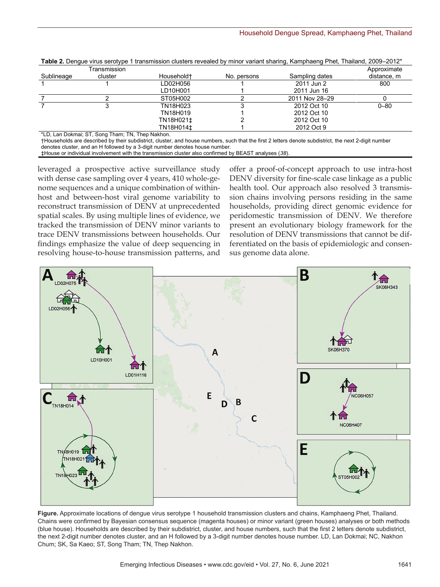|            | Transmission |            |             |                | Approximate |
|------------|--------------|------------|-------------|----------------|-------------|
| Sublineage | cluster      | Household+ | No. persons | Sampling dates | distance, m |
|            |              | LD02H056   |             | 2011 Jun 2     | 800         |
|            |              | LD10H001   |             | 2011 Jun 16    |             |
|            |              | ST05H002   |             | 2011 Nov 28-29 |             |
|            |              | TN18H023   |             | 2012 Oct 10    | $0 - 80$    |
|            |              | TN18H019   |             | 2012 Oct 10    |             |
|            |              | TN18H021±  |             | 2012 Oct 10    |             |
|            |              | TN18H014±  |             | 2012 Oct 9     |             |

**Table 2.** Dengue virus serotype 1 transmission clusters revealed by minor variant sharing, Kamphaeng Phet, Thailand, 2009–2012\*

\*LD, Lan Dokmai; ST, Song Tham; TN, Thep Nakhon.

†Households are described by their subdistrict, cluster, and house numbers, such that the first 2 letters denote subdistrict, the next 2-digit number denotes cluster, and an H followed by a 3-digit number denotes house number.

‡House or individual involvement with the transmission cluster also confirmed by BEAST analyses (*38*).

leveraged a prospective active surveillance study with dense case sampling over 4 years, 410 whole-genome sequences and a unique combination of withinhost and between-host viral genome variability to reconstruct transmission of DENV at unprecedented spatial scales. By using multiple lines of evidence, we tracked the transmission of DENV minor variants to trace DENV transmissions between households. Our findings emphasize the value of deep sequencing in resolving house-to-house transmission patterns, and

offer a proof-of-concept approach to use intra-host DENV diversity for fine-scale case linkage as a public health tool. Our approach also resolved 3 transmission chains involving persons residing in the same households, providing direct genomic evidence for peridomestic transmission of DENV. We therefore present an evolutionary biology framework for the resolution of DENV transmissions that cannot be differentiated on the basis of epidemiologic and consensus genome data alone.



**Figure.** Approximate locations of dengue virus serotype 1 household transmission clusters and chains, Kamphaeng Phet, Thailand. Chains were confirmed by Bayesian consensus sequence (magenta houses) or minor variant (green houses) analyses or both methods (blue house). Households are described by their subdistrict, cluster, and house numbers, such that the first 2 letters denote subdistrict, the next 2-digit number denotes cluster, and an H followed by a 3-digit number denotes house number. LD, Lan Dokmai; NC, Nakhon Chum; SK, Sa Kaeo; ST, Song Tham; TN, Thep Nakhon.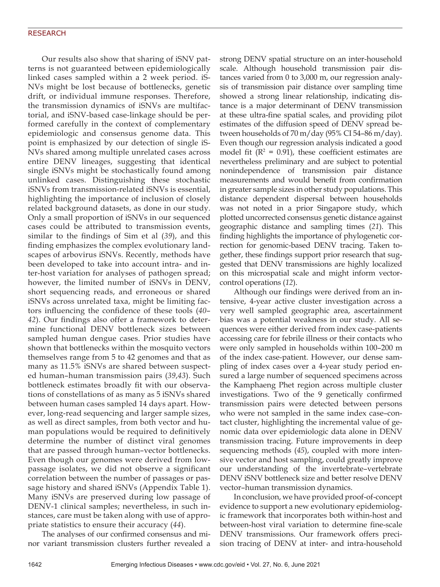Our results also show that sharing of iSNV patterns is not guaranteed between epidemiologically linked cases sampled within a 2 week period. iS-NVs might be lost because of bottlenecks, genetic drift, or individual immune responses. Therefore, the transmission dynamics of iSNVs are multifactorial, and iSNV-based case-linkage should be performed carefully in the context of complementary epidemiologic and consensus genome data. This point is emphasized by our detection of single iS-NVs shared among multiple unrelated cases across entire DENV lineages, suggesting that identical single iSNVs might be stochastically found among unlinked cases. Distinguishing these stochastic iSNVs from transmission-related iSNVs is essential, highlighting the importance of inclusion of closely related background datasets, as done in our study. Only a small proportion of iSNVs in our sequenced cases could be attributed to transmission events, similar to the findings of Sim et al (*39*), and this finding emphasizes the complex evolutionary landscapes of arbovirus iSNVs. Recently, methods have been developed to take into account intra- and inter-host variation for analyses of pathogen spread; however, the limited number of iSNVs in DENV, short sequencing reads, and erroneous or shared iSNVs across unrelated taxa, might be limiting factors influencing the confidence of these tools (*40*– *42*). Our findings also offer a framework to determine functional DENV bottleneck sizes between sampled human dengue cases. Prior studies have shown that bottlenecks within the mosquito vectors themselves range from 5 to 42 genomes and that as many as 11.5% iSNVs are shared between suspected human–human transmission pairs (*39*,*43*). Such bottleneck estimates broadly fit with our observations of constellations of as many as 5 iSNVs shared between human cases sampled 14 days apart. However, long-read sequencing and larger sample sizes, as well as direct samples, from both vector and human populations would be required to definitively determine the number of distinct viral genomes that are passed through human–vector bottlenecks. Even though our genomes were derived from lowpassage isolates, we did not observe a significant correlation between the number of passages or passage history and shared iSNVs (Appendix Table 1). Many iSNVs are preserved during low passage of DENV-1 clinical samples; nevertheless, in such instances, care must be taken along with use of appropriate statistics to ensure their accuracy (*44*).

The analyses of our confirmed consensus and minor variant transmission clusters further revealed a strong DENV spatial structure on an inter-household scale. Although household transmission pair distances varied from 0 to 3,000 m, our regression analysis of transmission pair distance over sampling time showed a strong linear relationship, indicating distance is a major determinant of DENV transmission at these ultra-fine spatial scales, and providing pilot estimates of the diffusion speed of DENV spread between households of 70 m/day (95% CI 54–86 m/day). Even though our regression analysis indicated a good model fit ( $R^2$  = 0.91), these coefficient estimates are nevertheless preliminary and are subject to potential nonindependence of transmission pair distance measurements and would benefit from confirmation in greater sample sizes in other study populations. This distance dependent dispersal between households was not noted in a prior Singapore study, which plotted uncorrected consensus genetic distance against geographic distance and sampling times (*21*). This finding highlights the importance of phylogenetic correction for genomic-based DENV tracing. Taken together, these findings support prior research that suggested that DENV transmissions are highly localized on this microspatial scale and might inform vectorcontrol operations (*12*).

Although our findings were derived from an intensive, 4-year active cluster investigation across a very well sampled geographic area, ascertainment bias was a potential weakness in our study. All sequences were either derived from index case-patients accessing care for febrile illness or their contacts who were only sampled in households within 100–200 m of the index case-patient. However, our dense sampling of index cases over a 4-year study period ensured a large number of sequenced specimens across the Kamphaeng Phet region across multiple cluster investigations. Two of the 9 genetically confirmed transmission pairs were detected between persons who were not sampled in the same index case–contact cluster, highlighting the incremental value of genomic data over epidemiologic data alone in DENV transmission tracing. Future improvements in deep sequencing methods (*45*), coupled with more intensive vector and host sampling, could greatly improve our understanding of the invertebrate–vertebrate DENV iSNV bottleneck size and better resolve DENV vector–human transmission dynamics.

In conclusion, we have provided proof-of-concept evidence to support a new evolutionary epidemiologic framework that incorporates both within-host and between-host viral variation to determine fine-scale DENV transmissions. Our framework offers precision tracing of DENV at inter- and intra-household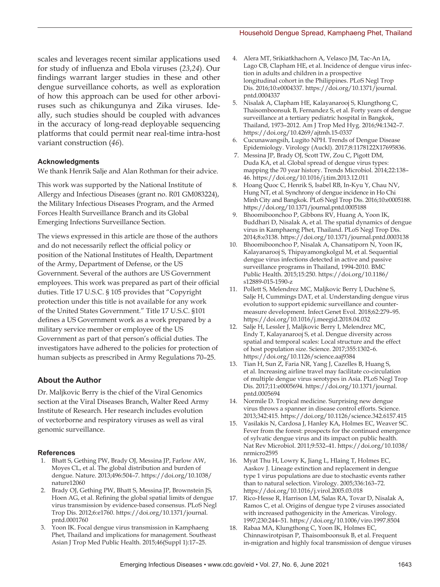scales and leverages recent similar applications used for study of influenza and Ebola viruses (*23*,*24*). Our findings warrant larger studies in these and other dengue surveillance cohorts, as well as exploration of how this approach can be used for other arboviruses such as chikungunya and Zika viruses. Ideally, such studies should be coupled with advances in the accuracy of long-read deployable sequencing platforms that could permit near real-time intra-host variant construction (*46*).

#### **Acknowledgments**

We thank Henrik Salje and Alan Rothman for their advice.

This work was supported by the National Institute of Allergy and Infectious Diseases (grant no. R01 GM083224), the Military Infectious Diseases Program, and the Armed Forces Health Surveillance Branch and its Global Emerging Infections Surveillance Section.

The views expressed in this article are those of the authors and do not necessarily reflect the official policy or position of the National Institutes of Health, Department of the Army, Department of Defense, or the US Government. Several of the authors are US Government employees. This work was prepared as part of their official duties. Title 17 U.S.C. § 105 provides that "Copyright protection under this title is not available for any work of the United States Government." Title 17 U.S.C. §101 defines a US Government work as a work prepared by a military service member or employee of the US Government as part of that person's official duties. The investigators have adhered to the policies for protection of human subjects as prescribed in Army Regulations 70–25.

## **About the Author**

Dr. Maljkovic Berry is the chief of the Viral Genomics section at the Viral Diseases Branch, Walter Reed Army Institute of Research. Her research includes evolution of vectorborne and respiratory viruses as well as viral genomic surveillance.

#### **References**

- 1. Bhatt S, Gething PW, Brady OJ, Messina JP, Farlow AW, Moyes CL, et al. The global distribution and burden of dengue. Nature. 2013;496:504–7. https://doi.org/10.1038/ nature12060
- 2. Brady OJ, Gething PW, Bhatt S, Messina JP, Brownstein JS, Hoen AG, et al. Refining the global spatial limits of dengue virus transmission by evidence-based consensus. PLoS Negl Trop Dis. 2012;6:e1760. https://doi.org/10.1371/journal. pntd.0001760
- Yoon IK. Focal dengue virus transmission in Kamphaeng Phet, Thailand and implications for management. Southeast Asian J Trop Med Public Health. 2015;46(Suppl 1):17–25.
- 4. Alera MT, Srikiatkhachorn A, Velasco JM, Tac-An IA, Lago CB, Clapham HE, et al. Incidence of dengue virus infection in adults and children in a prospective longitudinal cohort in the Philippines. PLoS Negl Trop Dis. 2016;10:e0004337. https://doi.org/10.1371/journal. pntd.0004337
- 5. Nisalak A, Clapham HE, Kalayanarooj S, Klungthong C, Thaisomboonsuk B, Fernandez S, et al. Forty years of dengue surveillance at a tertiary pediatric hospital in Bangkok, Thailand, 1973–2012. Am J Trop Med Hyg. 2016;94:1342–7. https://doi.org/10.4269/ajtmh.15-0337
- 6. Cucunawangsih, Lugito NPH. Trends of Dengue Disease Epidemiology. Virology (Auckl). 2017;8:1178122X17695836.
- 7. Messina JP, Brady OJ, Scott TW, Zou C, Pigott DM, Duda KA, et al. Global spread of dengue virus types: mapping the 70 year history. Trends Microbiol. 2014;22:138– 46. https://doi.org/10.1016/j.tim.2013.12.011
- 8. Hoang Quoc C, Henrik S, Isabel RB, In-Kyu Y, Chau NV, Hung NT, et al. Synchrony of dengue incidence in Ho Chi Minh City and Bangkok. PLoS Negl Trop Dis. 2016;10:e0005188. https://doi.org/10.1371/journal.pntd.0005188
- 9. Bhoomiboonchoo P, Gibbons RV, Huang A, Yoon IK, Buddhari D, Nisalak A, et al. The spatial dynamics of dengue virus in Kamphaeng Phet, Thailand. PLoS Negl Trop Dis. 2014;8:e3138. https://doi.org/10.1371/journal.pntd.0003138
- 10. Bhoomiboonchoo P, Nisalak A, Chansatiporn N, Yoon IK, Kalayanarooj S, Thipayamongkolgul M, et al. Sequential dengue virus infections detected in active and passive surveillance programs in Thailand, 1994-2010. BMC Public Health. 2015;15:250. https://doi.org/10.1186/ s12889-015-1590-z
- 11. Pollett S, Melendrez MC, Maljkovic Berry I, Duchêne S, Salje H, Cummings DAT, et al. Understanding dengue virus evolution to support epidemic surveillance and countermeasure development. Infect Genet Evol. 2018;62:279–95. https://doi.org/10.1016/j.meegid.2018.04.032
- 12. Salje H, Lessler J, Maljkovic Berry I, Melendrez MC, Endy T, Kalayanarooj S, et al. Dengue diversity across spatial and temporal scales: Local structure and the effect of host population size. Science. 2017;355:1302–6. https://doi.org/10.1126/science.aaj9384
- 13. Tian H, Sun Z, Faria NR, Yang J, Cazelles B, Huang S, et al. Increasing airline travel may facilitate co-circulation of multiple dengue virus serotypes in Asia. PLoS Negl Trop Dis. 2017;11:e0005694. https://doi.org/10.1371/journal. pntd.0005694
- 14. Normile D. Tropical medicine. Surprising new dengue virus throws a spanner in disease control efforts. Science. 2013;342:415. https://doi.org/10.1126/science.342.6157.415
- 15. Vasilakis N, Cardosa J, Hanley KA, Holmes EC, Weaver SC. Fever from the forest: prospects for the continued emergence of sylvatic dengue virus and its impact on public health. Nat Rev Microbiol. 2011;9:532–41. https://doi.org/10.1038/ nrmicro2595
- 16. Myat Thu H, Lowry K, Jiang L, Hlaing T, Holmes EC, Aaskov J. Lineage extinction and replacement in dengue type 1 virus populations are due to stochastic events rather than to natural selection. Virology. 2005;336:163–72. https://doi.org/10.1016/j.virol.2005.03.018
- 17. Rico-Hesse R, Harrison LM, Salas RA, Tovar D, Nisalak A, Ramos C, et al. Origins of dengue type 2 viruses associated with increased pathogenicity in the Americas. Virology. 1997;230:244–51. https://doi.org/10.1006/viro.1997.8504
- 18. Rabaa MA, Klungthong C, Yoon IK, Holmes EC, Chinnawirotpisan P, Thaisomboonsuk B, et al. Frequent in-migration and highly focal transmission of dengue viruses